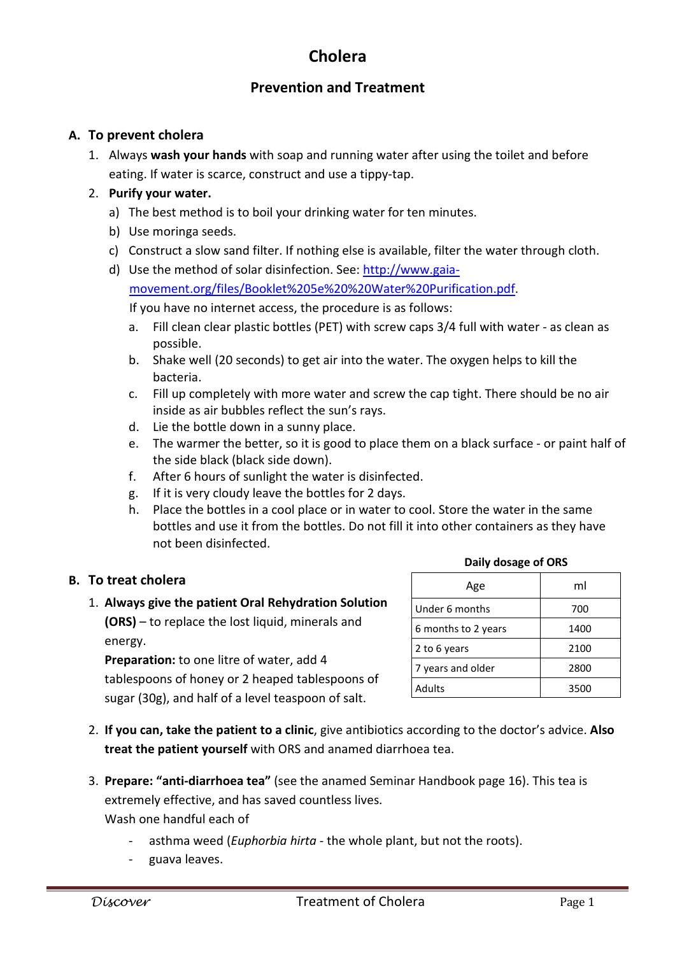# **Cholera**

## **Prevention and Treatment**

#### **A. To prevent cholera**

1. Always **wash your hands** with soap and running water after using the toilet and before eating. If water is scarce, construct and use a tippy-tap.

#### 2. **Purify your water.**

- a) The best method is to boil your drinking water for ten minutes.
- b) Use moringa seeds.
- c) Construct a slow sand filter. If nothing else is available, filter the water through cloth.
- d) Use the method of solar disinfection. See: http://www.gaia-

movement.org/files/Booklet%205e%20%20Water%20Purification.pdf.

If you have no internet access, the procedure is as follows:

- a. Fill clean clear plastic bottles (PET) with screw caps 3/4 full with water as clean as possible.
- b. Shake well (20 seconds) to get air into the water. The oxygen helps to kill the bacteria.
- c. Fill up completely with more water and screw the cap tight. There should be no air inside as air bubbles reflect the sun's rays.
- d. Lie the bottle down in a sunny place.
- e. The warmer the better, so it is good to place them on a black surface or paint half of the side black (black side down).
- f. After 6 hours of sunlight the water is disinfected.
- g. If it is very cloudy leave the bottles for 2 days.
- h. Place the bottles in a cool place or in water to cool. Store the water in the same bottles and use it from the bottles. Do not fill it into other containers as they have not been disinfected.

#### **B. To treat cholera**

### 1. **Always give the patient Oral Rehydration Solution (ORS)** – to replace the lost liquid, minerals and energy.

**Preparation:** to one litre of water, add 4 tablespoons of honey or 2 heaped tablespoons of sugar (30g), and half of a level teaspoon of salt.

| Age                 | ml   |
|---------------------|------|
| Under 6 months      | 700  |
| 6 months to 2 years | 1400 |
| 2 to 6 years        | 2100 |
| 7 years and older   | 2800 |
| Adults              | 3500 |

**Daily dosage of ORS**

- 2. **If you can, take the patient to a clinic**, give antibiotics according to the doctor's advice. **Also treat the patient yourself** with ORS and anamed diarrhoea tea.
- 3. **Prepare: "anti-diarrhoea tea"** (see the anamed Seminar Handbook page 16). This tea is extremely effective, and has saved countless lives.

Wash one handful each of

- asthma weed (*Euphorbia hirta* the whole plant, but not the roots).
- guava leaves.